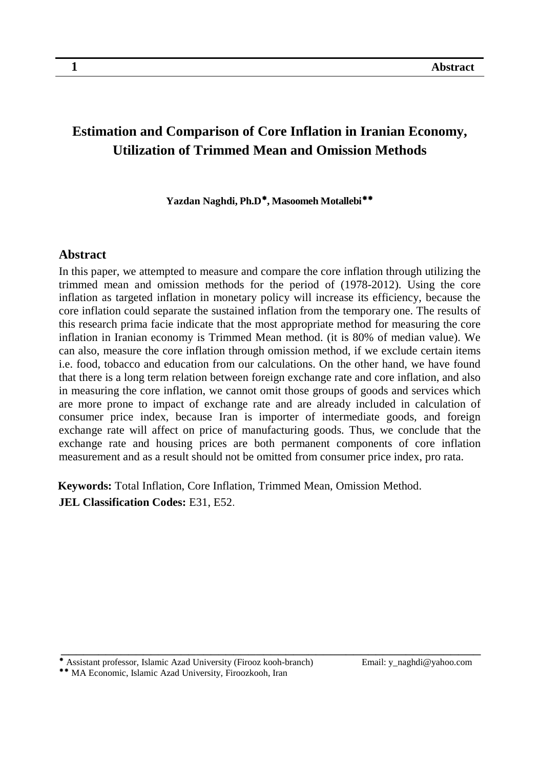# **Estimation and Comparison of Core Inflation in Iranian Economy, Utilization of Trimmed Mean and Omission Methods**

**Yazdan Naghdi, Ph.D***2T0F 2T***, Masoomeh Motallebi***2T1F*

#### **Abstract**

In this paper, we attempted to measure and compare the core inflation through utilizing the trimmed mean and omission methods for the period of (1978-2012). Using the core inflation as targeted inflation in monetary policy will increase its efficiency, because the core inflation could separate the sustained inflation from the temporary one. The results of this research prima facie indicate that the most appropriate method for measuring the core inflation in Iranian economy is Trimmed Mean method. (it is 80% of median value). We can also, measure the core inflation through omission method, if we exclude certain items i.e. food, tobacco and education from our calculations. On the other hand, we have found that there is a long term relation between foreign exchange rate and core inflation, and also in measuring the core inflation, we cannot omit those groups of goods and services which are more prone to impact of exchange rate and are already included in calculation of consumer price index, because Iran is importer of intermediate goods, and foreign exchange rate will affect on price of manufacturing goods. Thus, we conclude that the exchange rate and housing prices are both permanent components of core inflation measurement and as a result should not be omitted from consumer price index, pro rata.

**Keywords:** Total Inflation, Core Inflation, Trimmed Mean, Omission Method. **JEL Classification Codes:** E31, E52.

Assistant professor, Islamic Azad University (Firooz kooh-branch) Email: y\_naghdi@yahoo.com

<sup>\*\*</sup> MA Economic, Islamic Azad University, Firoozkooh, Iran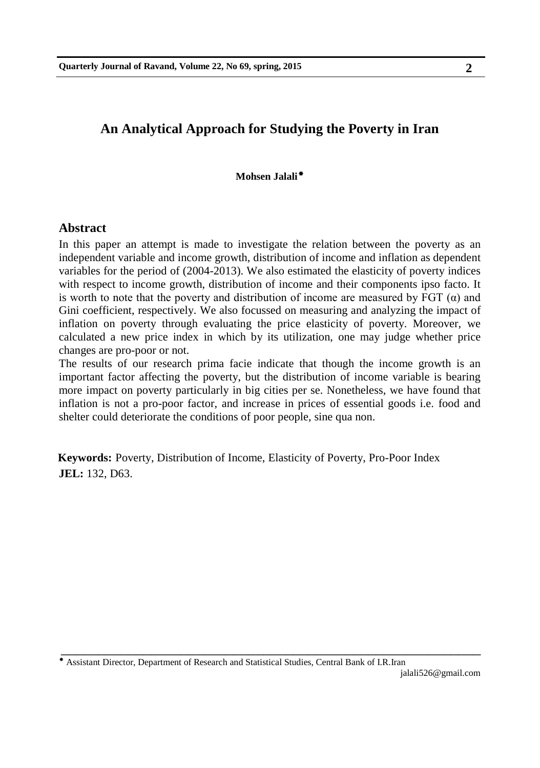## **An Analytical Approach for Studying the Poverty in Iran**

**Mohsen Jalali***2TF*

#### **Abstract**

In this paper an attempt is made to investigate the relation between the poverty as an independent variable and income growth, distribution of income and inflation as dependent variables for the period of (2004-2013). We also estimated the elasticity of poverty indices with respect to income growth, distribution of income and their components ipso facto. It is worth to note that the poverty and distribution of income are measured by FGT  $(\alpha)$  and Gini coefficient, respectively. We also focussed on measuring and analyzing the impact of inflation on poverty through evaluating the price elasticity of poverty. Moreover, we calculated a new price index in which by its utilization, one may judge whether price changes are pro-poor or not.

The results of our research prima facie indicate that though the income growth is an important factor affecting the poverty, but the distribution of income variable is bearing more impact on poverty particularly in big cities per se. Nonetheless, we have found that inflation is not a pro-poor factor, and increase in prices of essential goods i.e. food and shelter could deteriorate the conditions of poor people, sine qua non.

**Keywords:** Poverty, Distribution of Income, Elasticity of Poverty, Pro-Poor Index **JEL:** 132, D63.

\_\_\_\_\_\_\_\_\_\_\_\_\_\_\_\_\_\_\_\_\_\_\_\_\_\_\_\_\_\_\_\_\_\_\_\_\_\_\_\_\_\_\_\_\_\_\_\_\_\_\_\_\_\_\_\_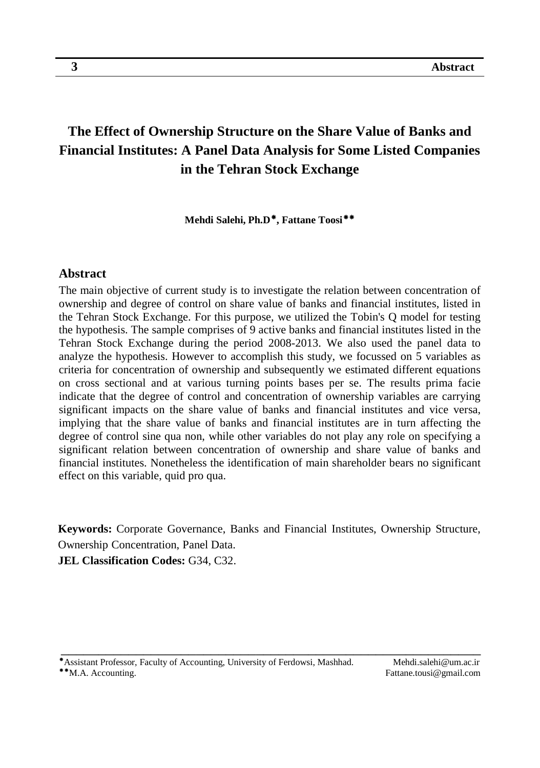# **The Effect of Ownership Structure on the Share Value of Banks and Financial Institutes: A Panel Data Analysis for Some Listed Companies in the Tehran Stock Exchange**

 $\mathbf{M}$ ehdi Salehi, Ph.D $^{*}\!,$  Fattane Toosi $^{**}\!$ 

#### **Abstract**

The main objective of current study is to investigate the relation between concentration of ownership and degree of control on share value of banks and financial institutes, listed in the Tehran Stock Exchange. For this purpose, we utilized the Tobin's Q model for testing the hypothesis. The sample comprises of 9 active banks and financial institutes listed in the Tehran Stock Exchange during the period 2008-2013. We also used the panel data to analyze the hypothesis. However to accomplish this study, we focussed on 5 variables as criteria for concentration of ownership and subsequently we estimated different equations on cross sectional and at various turning points bases per se. The results prima facie indicate that the degree of control and concentration of ownership variables are carrying significant impacts on the share value of banks and financial institutes and vice versa, implying that the share value of banks and financial institutes are in turn affecting the degree of control sine qua non, while other variables do not play any role on specifying a significant relation between concentration of ownership and share value of banks and financial institutes. Nonetheless the identification of main shareholder bears no significant effect on this variable, quid pro qua.

**Keywords:** Corporate Governance, Banks and Financial Institutes, Ownership Structure, Ownership Concentration, Panel Data.

\_\_\_\_\_\_\_\_\_\_\_\_\_\_\_\_\_\_\_\_\_\_\_\_\_\_\_\_\_\_\_\_\_\_\_\_\_\_\_\_\_\_\_\_\_\_\_\_\_\_\_\_\_\_\_\_

**JEL Classification Codes:** G34, C32.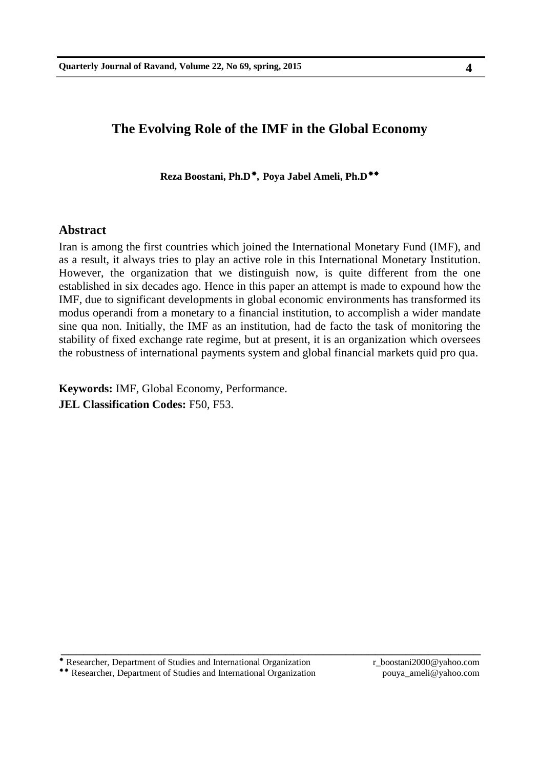### **The Evolving Role of the IMF in the Global Economy**

**Reza Boostani, Ph.D***2T5F 2T***, Poya Jabel Ameli, Ph.D***2T6F*

#### **Abstract**

Iran is among the first countries which joined the International Monetary Fund (IMF), and as a result, it always tries to play an active role in this International Monetary Institution. However, the organization that we distinguish now, is quite different from the one established in six decades ago. Hence in this paper an attempt is made to expound how the IMF, due to significant developments in global economic environments has transformed its modus operandi from a monetary to a financial institution, to accomplish a wider mandate sine qua non. Initially, the IMF as an institution, had de facto the task of monitoring the stability of fixed exchange rate regime, but at present, it is an organization which oversees the robustness of international payments system and global financial markets quid pro qua.

\_\_\_\_\_\_\_\_\_\_\_\_\_\_\_\_\_\_\_\_\_\_\_\_\_\_\_\_\_\_\_\_\_\_\_\_\_\_\_\_\_\_\_\_\_\_\_\_\_\_\_\_\_\_\_\_

**Keywords:** IMF, Global Economy, Performance. **JEL Classification Codes:** F50, F53.

Researcher, Department of Studies and International Organization r\_boostani2000@yahoo.com

\*\* Researcher, Department of Studies and International Organization pouya\_ameli@yahoo.com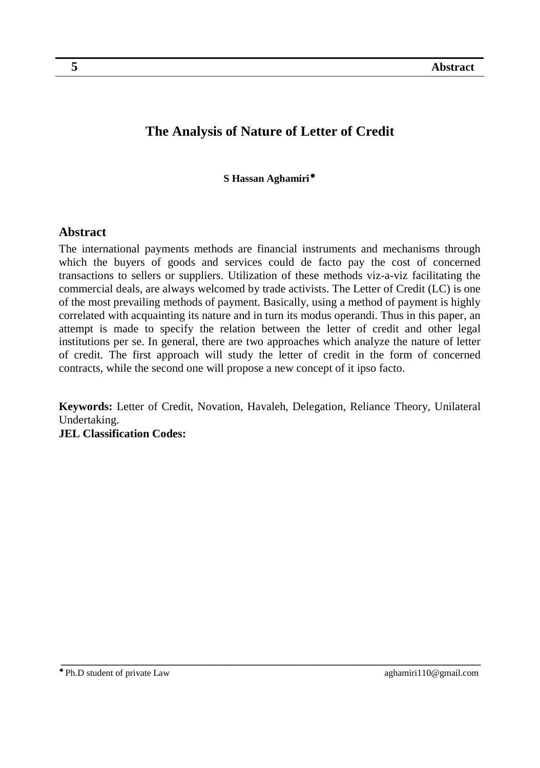## **The Analysis of Nature of Letter of Credit**

**S Hassan Aghamiri** $^*$ 

### **Abstract**

The international payments methods are financial instruments and mechanisms through which the buyers of goods and services could de facto pay the cost of concerned transactions to sellers or suppliers. Utilization of these methods viz-a-viz facilitating the commercial deals, are always welcomed by trade activists. The Letter of Credit (LC) is one of the most prevailing methods of payment. Basically, using a method of payment is highly correlated with acquainting its nature and in turn its modus operandi. Thus in this paper, an attempt is made to specify the relation between the letter of credit and other legal institutions per se. In general, there are two approaches which analyze the nature of letter of credit. The first approach will study the letter of credit in the form of concerned contracts, while the second one will propose a new concept of it ipso facto.

**Keywords:** Letter of Credit, Novation, Havaleh, Delegation, Reliance Theory, Unilateral Undertaking. **JEL Classification Codes:**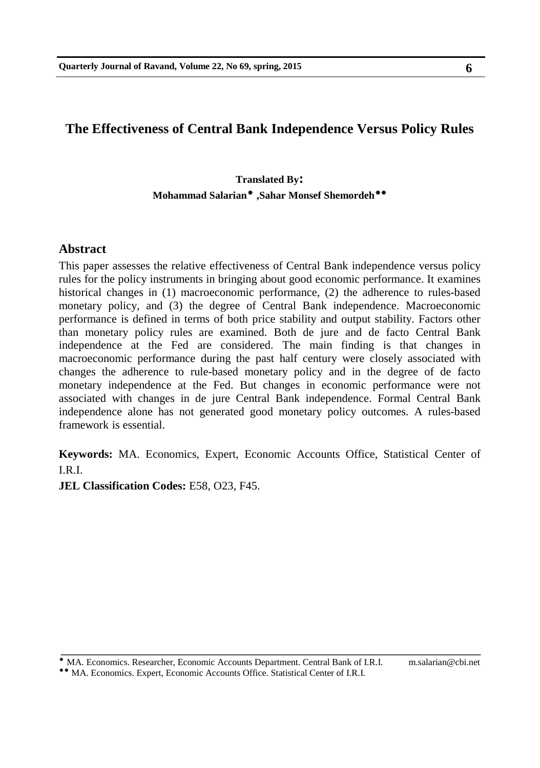## **The Effectiveness of Central Bank Independence Versus Policy Rules**

### **Translated By: Mohammad Salarian***2T8 F 2T* **,Sahar Monsef Shemordeh***2T9F*

#### **Abstract**

This paper assesses the relative effectiveness of Central Bank independence versus policy rules for the policy instruments in bringing about good economic performance. It examines historical changes in (1) macroeconomic performance, (2) the adherence to rules-based monetary policy, and (3) the degree of Central Bank independence. Macroeconomic performance is defined in terms of both price stability and output stability. Factors other than monetary policy rules are examined. Both de jure and de facto Central Bank independence at the Fed are considered. The main finding is that changes in macroeconomic performance during the past half century were closely associated with changes the adherence to rule-based monetary policy and in the degree of de facto monetary independence at the Fed. But changes in economic performance were not associated with changes in de jure Central Bank independence. Formal Central Bank independence alone has not generated good monetary policy outcomes. A rules-based framework is essential.

**Keywords:** MA. Economics, Expert, Economic Accounts Office, Statistical Center of I.R.I.

\_\_\_\_\_\_\_\_\_\_\_\_\_\_\_\_\_\_\_\_\_\_\_\_\_\_\_\_\_\_\_\_\_\_\_\_\_\_\_\_\_\_\_\_\_\_\_\_\_\_\_\_\_\_\_\_

**JEL Classification Codes:** E58, O23, F45.

MA. Economics. Researcher, Economic Accounts Department. Central Bank of I.R.I. m.salarian@cbi.net

MA. Economics. Expert, Economic Accounts Office. Statistical Center of I.R.I.